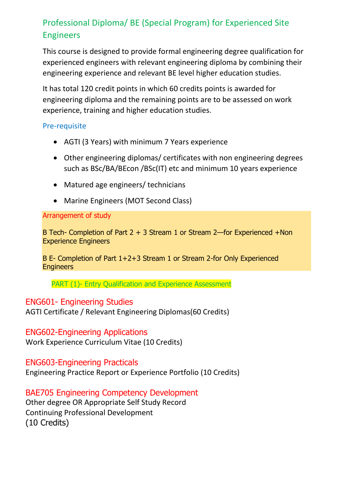# Professional Diploma/ BE (Special Program) for Experienced Site Engineers

This course is designed to provide formal engineering degree qualification for experienced engineers with relevant engineering diploma by combining their engineering experience and relevant BE level higher education studies.

It has total 120 credit points in which 60 credits points is awarded for engineering diploma and the remaining points are to be assessed on work experience, training and higher education studies.

#### Pre-requisite

- AGTI (3 Years) with minimum 7 Years experience
- Other engineering diplomas/ certificates with non engineering degrees such as BSc/BA/BEcon /BSc(IT) etc and minimum 10 years experience
- Matured age engineers/ technicians
- Marine Engineers (MOT Second Class)

#### Arrangement of study

B Tech- Completion of Part 2 + 3 Stream 1 or Stream 2—for Experienced +Non Experience Engineers

B E- Completion of Part 1+2+3 Stream 1 or Stream 2-for Only Experienced **Engineers** 

PART (1)- Entry Qualification and Experience Assessment

### ENG601- Engineering Studies

AGTI Certificate / Relevant Engineering Diplomas(60 Credits)

### ENG602-Engineering Applications

Work Experience Curriculum Vitae (10 Credits)

### ENG603-Engineering Practicals

Engineering Practice Report or Experience Portfolio (10 Credits)

### BAE705 Engineering Competency Development

Other degree OR Appropriate Self Study Record Continuing Professional Development (10 Credits)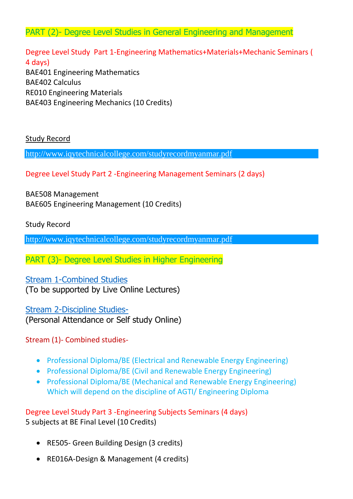PART (2)- Degree Level Studies in General Engineering and Management

Degree Level Study Part 1-Engineering Mathematics+Materials+Mechanic Seminars ( 4 days) BAE401 Engineering Mathematics BAE402 Calculus RE010 Engineering Materials BAE403 Engineering Mechanics (10 Credits)

Study Record

[http://www.iqytechnicalcollege.com/studyrecordmyanmar.pdf](http://www.iqytechnicalcollege.com/studyrecordmyanmar.pdf?fbclid=IwAR2qXJ4eLc78DcroqJHOwLV2t2rM-eWuQpbCTc_f1h-nCifyp6sKAgXOqx4)

Degree Level Study Part 2 -Engineering Management Seminars (2 days)

BAE508 Management BAE605 Engineering Management (10 Credits)

Study Record

[http://www.iqytechnicalcollege.com/studyrecordmyanmar.pdf](http://www.iqytechnicalcollege.com/studyrecordmyanmar.pdf?fbclid=IwAR2qXJ4eLc78DcroqJHOwLV2t2rM-eWuQpbCTc_f1h-nCifyp6sKAgXOqx4)

PART (3)- Degree Level Studies in Higher Engineering

### [Stream 1-Combined Studies](http://www.iqytechnicalcollege.com/Form109BESpecialProgramLearningSupport.htm#b7)

(To be supported by Live Online Lectures)

[Stream 2-Discipline Studies-](http://www.iqytechnicalcollege.com/Form109BESpecialProgramLearningSupport.htm#b6)

(Personal Attendance or Self study Online)

Stream (1)- Combined studies-

- Professional Diploma/BE (Electrical and Renewable Energy Engineering)
- Professional Diploma/BE (Civil and Renewable Energy Engineering)
- Professional Diploma/BE (Mechanical and Renewable Energy Engineering) Which will depend on the discipline of AGTI/ Engineering Diploma

Degree Level Study Part 3 -Engineering Subjects Seminars (4 days) 5 subjects at BE Final Level (10 Credits)

- RE505- Green Building Design (3 credits)
- RE016A-Design & Management (4 credits)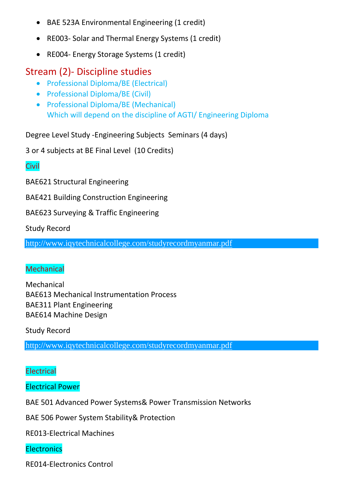- BAE 523A Environmental Engineering (1 credit)
- RE003- Solar and Thermal Energy Systems (1 credit)
- RE004- Energy Storage Systems (1 credit)

# Stream (2)- Discipline studies

- Professional Diploma/BE (Electrical)
- Professional Diploma/BE (Civil)
- Professional Diploma/BE (Mechanical) Which will depend on the discipline of AGTI/ Engineering Diploma

Degree Level Study -Engineering Subjects Seminars (4 days)

3 or 4 subjects at BE Final Level (10 Credits)

## **Civil**

BAE621 Structural Engineering

BAE421 Building Construction Engineering

BAE623 Surveying & Traffic Engineering

Study Record

[http://www.iqytechnicalcollege.com/studyrecordmyanmar.pdf](http://www.iqytechnicalcollege.com/studyrecordmyanmar.pdf?fbclid=IwAR2qXJ4eLc78DcroqJHOwLV2t2rM-eWuQpbCTc_f1h-nCifyp6sKAgXOqx4)

### **Mechanical**

Mechanical BAE613 Mechanical Instrumentation Process BAE311 Plant Engineering BAE614 Machine Design

Study Record

[http://www.iqytechnicalcollege.com/studyrecordmyanmar.pdf](http://www.iqytechnicalcollege.com/studyrecordmyanmar.pdf?fbclid=IwAR2qXJ4eLc78DcroqJHOwLV2t2rM-eWuQpbCTc_f1h-nCifyp6sKAgXOqx4)

## **Electrical**

Electrical Power

BAE 501 Advanced Power Systems& Power Transmission Networks

BAE 506 Power System Stability& Protection

RE013-Electrical Machines

### **Electronics**

RE014-Electronics Control